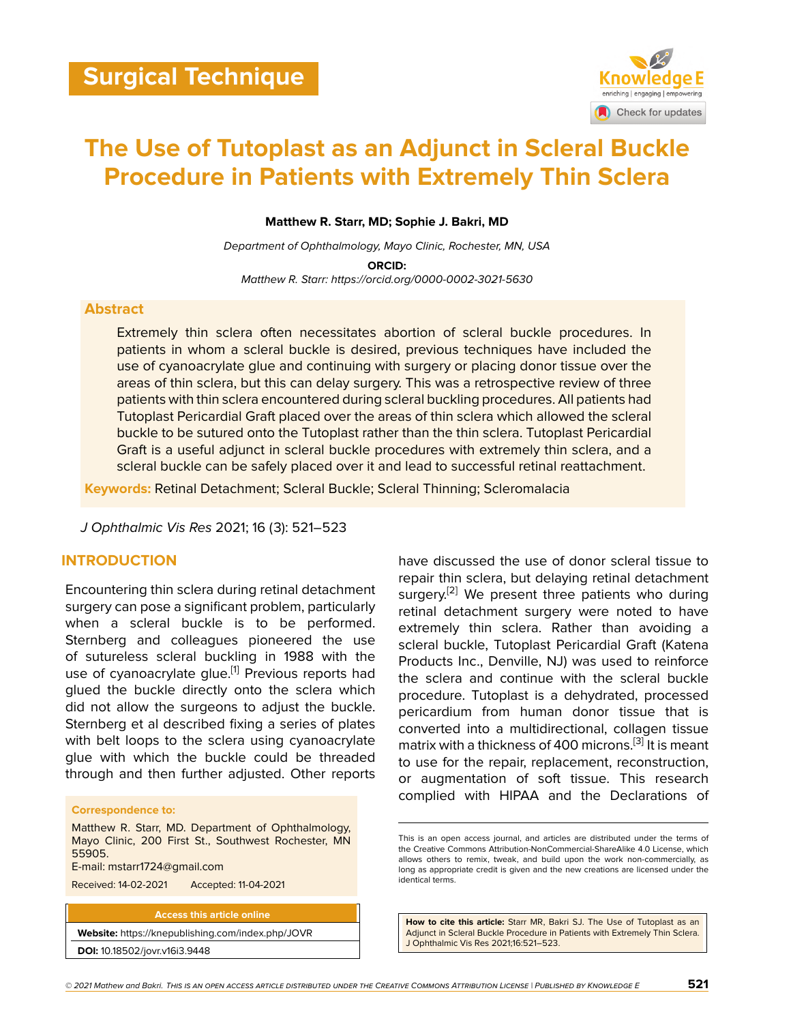

# **The Use of Tutoplast as an Adjunct in Scleral Buckle Procedure in Patients with Extremely Thin Sclera**

**Matthew R. Starr, MD; Sophie J. Bakri, MD**

*Department of Ophthalmology, Mayo Clinic, Rochester, MN, USA* **ORCID:** *Matthew R. Starr: https://orcid.org/0000-0002-3021-5630*

#### **Abstract**

Extremely thin sclera often necessitates abortion of scleral buckle procedures. In patients in whom a scleral buckle is desired, previous techniques have included the use of cyanoacrylate glue and continuing with surgery or placing donor tissue over the areas of thin sclera, but this can delay surgery. This was a retrospective review of three patients with thin sclera encountered during scleral buckling procedures. All patients had Tutoplast Pericardial Graft placed over the areas of thin sclera which allowed the scleral buckle to be sutured onto the Tutoplast rather than the thin sclera. Tutoplast Pericardial Graft is a useful adjunct in scleral buckle procedures with extremely thin sclera, and a scleral buckle can be safely placed over it and lead to successful retinal reattachment.

**Keywords:** Retinal Detachment; Scleral Buckle; Scleral Thinning; Scleromalacia

*J Ophthalmic Vis Res* 2021; 16 (3): 521–523

# **INTRODUCTION**

Encountering thin sclera during retinal detachment surgery can pose a significant problem, particularly when a scleral buckle is to be performed. Sternberg and colleagues pioneered the use of sutureless scleral buckling in 1988 with the use of cyanoacrylate glue.<sup>[[1](#page-2-0)]</sup> Previous reports had glued the buckle directly onto the sclera which did not allow the surgeons to adjust the buckle. Sternberg et al described fixing a series of plates with belt loops to the sclera using cyanoacrylate glue with which the buckle could be threaded through and then further adjusted. Other reports

#### **Correspondence to:**

Matthew R. Starr, MD. Department of Ophthalmology, Mayo Clinic, 200 First St., Southwest Rochester, MN 55905. E-mail: mstarr1724@gmail.com

Received: 14-02-2021 Accepted: 11-04-2021

**Access this article online Website:** <https://knepublishing.com/index.php/JOVR>

**DOI:** 10.18502/jovr.v16i3.9448

have discussed the use of donor scleral tissue to repair thin sclera, but delaying retinal detachment surgery.<sup>[[2](#page-2-1)]</sup> We present three patients who during retinal detachment surgery were noted to have extremely thin sclera. Rather than avoiding a scleral buckle, Tutoplast Pericardial Graft (Katena Products Inc., Denville, NJ) was used to reinforce the sclera and continue with the scleral buckle procedure. Tutoplast is a dehydrated, processed pericardium from human donor tissue that is converted into a multidirectional, collagen tissue matrix with a thickness of 400 microns.[\[3\]](#page-2-2) It is meant to use for the repair, replacement, reconstruction, or augmentation of soft tissue. This research complied with HIPAA and the Declarations of

**How to cite this article:** Starr MR, Bakri SJ. The Use of Tutoplast as an Adjunct in Scleral Buckle Procedure in Patients with Extremely Thin Sclera. J Ophthalmic Vis Res 2021;16:521–523.

This is an open access journal, and articles are distributed under the terms of the Creative Commons Attribution-NonCommercial-ShareAlike 4.0 License, which allows others to remix, tweak, and build upon the work non-commercially, as long as appropriate credit is given and the new creations are licensed under the identical terms.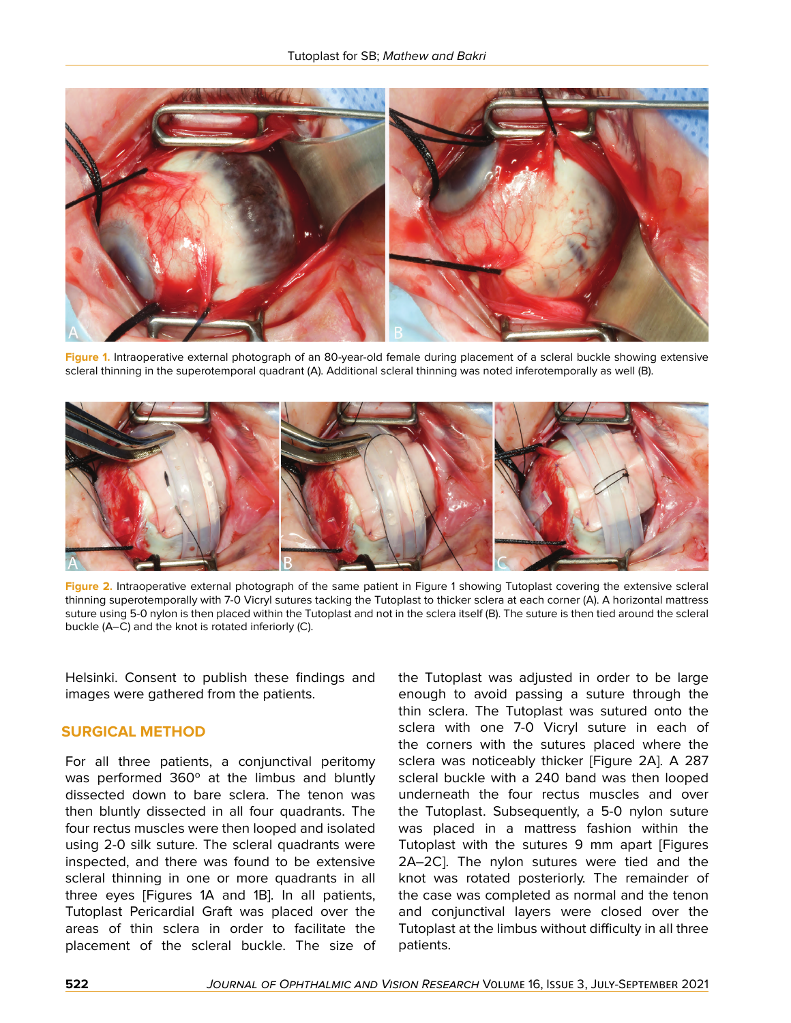

**Figure 1.** Intraoperative external photograph of an 80-year-old female during placement of a scleral buckle showing extensive scleral thinning in the superotemporal quadrant (A). Additional scleral thinning was noted inferotemporally as well (B).



**Figure 2.** Intraoperative external photograph of the same patient in Figure 1 showing Tutoplast covering the extensive scleral thinning superotemporally with 7-0 Vicryl sutures tacking the Tutoplast to thicker sclera at each corner (A). A horizontal mattress suture using 5-0 nylon is then placed within the Tutoplast and not in the sclera itself (B). The suture is then tied around the scleral buckle (A–C) and the knot is rotated inferiorly (C).

Helsinki. Consent to publish these findings and images were gathered from the patients.

# **SURGICAL METHOD**

For all three patients, a conjunctival peritomy was performed 360º at the limbus and bluntly dissected down to bare sclera. The tenon was then bluntly dissected in all four quadrants. The four rectus muscles were then looped and isolated using 2-0 silk suture. The scleral quadrants were inspected, and there was found to be extensive scleral thinning in one or more quadrants in all three eyes [Figures 1A and 1B]. In all patients, Tutoplast Pericardial Graft was placed over the areas of thin sclera in order to facilitate the placement of the scleral buckle. The size of

the Tutoplast was adjusted in order to be large enough to avoid passing a suture through the thin sclera. The Tutoplast was sutured onto the sclera with one 7-0 Vicryl suture in each of the corners with the sutures placed where the sclera was noticeably thicker [Figure 2A]. A 287 scleral buckle with a 240 band was then looped underneath the four rectus muscles and over the Tutoplast. Subsequently, a 5-0 nylon suture was placed in a mattress fashion within the Tutoplast with the sutures 9 mm apart [Figures 2A–2C]. The nylon sutures were tied and the knot was rotated posteriorly. The remainder of the case was completed as normal and the tenon and conjunctival layers were closed over the Tutoplast at the limbus without difficulty in all three patients.